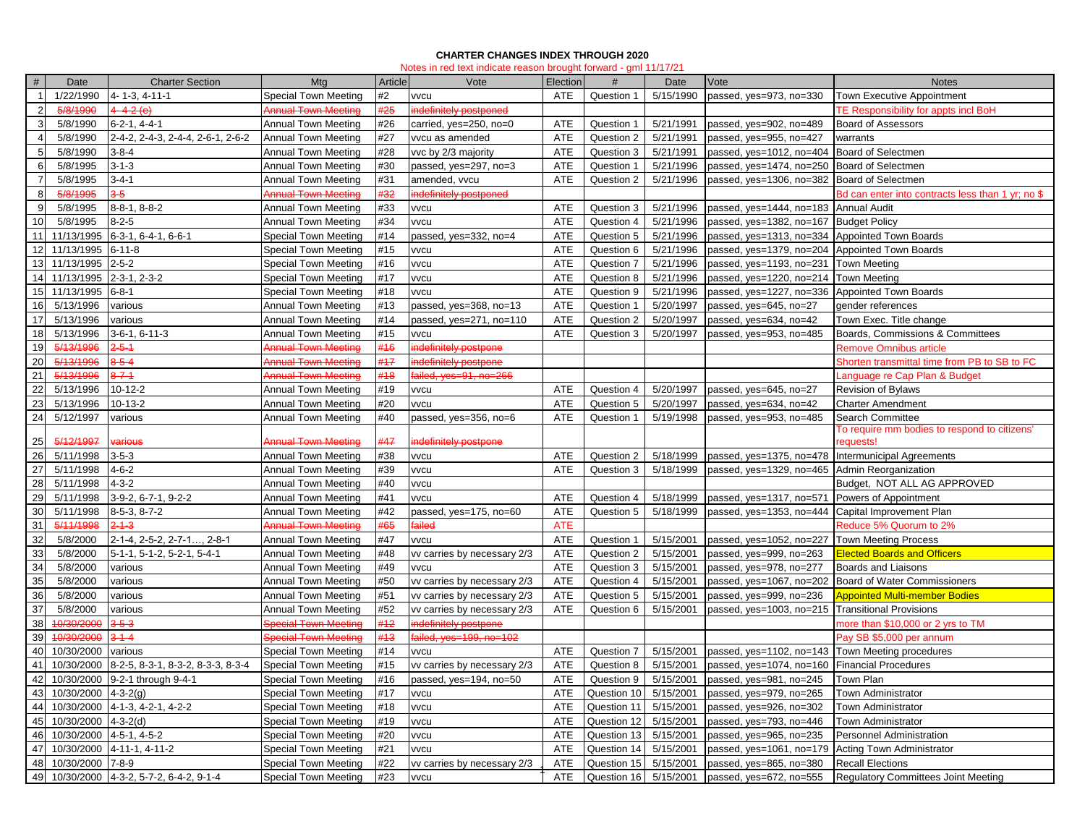## **CHARTER CHANGES INDEX THROUGH 2020**

Notes in red text indicate reason brought forward - gml 11/17/21

|                       | Date                     | <b>Charter Section</b>                       | Mtg                                                      | Article    | Vote                                                       | Election          | #           | Date                   | Vote                                                 | <b>Notes</b>                                                           |
|-----------------------|--------------------------|----------------------------------------------|----------------------------------------------------------|------------|------------------------------------------------------------|-------------------|-------------|------------------------|------------------------------------------------------|------------------------------------------------------------------------|
|                       | 1/22/1990                | 4-1-3, 4-11-1                                | Special Town Meeting                                     | #2         | vvcu                                                       | <b>ATE</b>        | Question 1  | 5/15/1990              | passed, yes=973, no=330                              | Town Executive Appointment                                             |
|                       | 5/8/1990                 | $4 - 4 - 2 (e)$                              | <b>Annual Town Meeting</b>                               | #25        | ndefinitely postponed                                      |                   |             |                        |                                                      | TE Responsibility for appts incl BoH                                   |
| 3                     | 5/8/1990                 | $6-2-1, 4-4-1$                               | <b>Annual Town Meeting</b>                               | #26        | carried, yes=250, no=0                                     | <b>ATE</b>        | Question 1  | 5/21/1991              | passed, yes=902, no=489                              | <b>Board of Assessors</b>                                              |
| $\Delta$              | 5/8/1990                 | 2-4-2, 2-4-3, 2-4-4, 2-6-1, 2-6-2            | <b>Annual Town Meeting</b>                               | #27        | vvcu as amended                                            | ATE               | Question 2  | 5/21/1991              | passed, yes=955, no=427                              | warrants                                                               |
| 5                     | 5/8/1990                 | $3 - 8 - 4$                                  | <b>Annual Town Meeting</b>                               | #28        | vvc by 2/3 majority                                        | <b>ATE</b>        | Question 3  | 5/21/1991              | passed, yes=1012, no=404                             | Board of Selectmen                                                     |
| 6                     | 5/8/1995                 | $3 - 1 - 3$                                  | <b>Annual Town Meeting</b>                               | #30        | passed, yes=297, no=3                                      | ATE               | Question 1  | 5/21/1996              | passed, yes=1474, no=250                             | Board of Selectmen                                                     |
| $\overline{7}$        | 5/8/1995                 | $3 - 4 - 1$                                  | Annual Town Meeting                                      | #31        | amended, vvcu                                              | ATE               | Question 2  | 5/21/1996              | passed, yes=1306, no=382                             | <b>Board of Selectmen</b>                                              |
| 8                     | 5/8/1995                 | $3-5$                                        | <b>Annual Town Meeting</b>                               | #32        | ndefinitely postponed                                      |                   |             |                        |                                                      | Bd can enter into contracts less than 1 yr; no \$                      |
| 9                     | 5/8/1995                 | 8-8-1, 8-8-2                                 | <b>Annual Town Meeting</b>                               | #33        | vvcu                                                       | ATE               | Question 3  | 5/21/1996              | passed, yes=1444, no=183                             | <b>Annual Audit</b>                                                    |
| 10 <sup>1</sup>       | 5/8/1995                 | $8 - 2 - 5$                                  | Annual Town Meeting                                      | #34        | vvcu                                                       | ATE               | Question 4  | 5/21/1996              | passed, yes=1382, no=167                             | <b>Budget Policy</b>                                                   |
| 11                    | 11/13/1995               | 6-3-1, 6-4-1, 6-6-1                          | Special Town Meeting                                     | #14        | passed, yes=332, no=4                                      | ATE               | Question 5  | 5/21/1996              | passed, yes=1313, no=334                             | <b>Appointed Town Boards</b>                                           |
| 12                    | 11/13/1995               | $6 - 11 - 8$                                 | Special Town Meeting                                     | #15        | vvcu                                                       | ATE               | Question 6  | 5/21/1996              | passed, yes=1379, no=204                             | <b>Appointed Town Boards</b>                                           |
| 13                    | 11/13/1995               | $2 - 5 - 2$                                  | Special Town Meeting                                     | #16        | vvcu                                                       | ATE               | Question 7  | 5/21/1996              | passed, yes=1193, no=231                             | <b>Town Meeting</b>                                                    |
| 14                    | 11/13/1995               | $2-3-1, 2-3-2$                               | Special Town Meeting                                     | #17        | vvcu                                                       | ATE               | Question 8  | 5/21/1996              | passed, yes=1220, no=214                             | <b>Town Meeting</b>                                                    |
| 15                    | 11/13/1995               | $6 - 8 - 1$                                  | Special Town Meeting                                     | #18        | vvcu                                                       | ATE               | Question 9  | 5/21/1996              | passed, yes=1227, no=336                             | <b>Appointed Town Boards</b>                                           |
| 16                    | 5/13/1996                | various                                      | Annual Town Meeting                                      | #13        | passed, yes=368, no=13                                     | ATE               | Question 1  | 5/20/1997              | passed, yes=645, no=27                               | gender references                                                      |
| 17                    | 5/13/1996                | various                                      | <b>Annual Town Meeting</b>                               | #14        | passed, yes=271, no=110                                    | ATE               | Question 2  | 5/20/1997              | passed, yes=634, no=42                               | Town Exec. Title change                                                |
| 18                    | 5/13/1996                | $3-6-1, 6-11-3$                              | <b>Annual Town Meeting</b>                               | #15        | vvcu                                                       | ATE               | Question 3  | 5/20/1997              | passed, yes=953, no=485                              | Boards, Commissions & Committees                                       |
| 19                    | 5/13/1996                | $2 - 5 - 1$                                  | <b>Annual Town Meeting</b>                               | #16        | ndefinitely postpone                                       |                   |             |                        |                                                      | <b>Remove Omnibus article</b>                                          |
| 20                    | 5/13/1996                | $8 - 5 - 4$                                  | <b>Annual Town Meeting</b>                               | #17        | ndefinitely postpone                                       |                   |             |                        |                                                      | Shorten transmittal time from PB to SB to FC                           |
| 21                    | 5/13/1996                | $8 - 7 - 1$                                  | Annual Town Meeting                                      | #18        | ailed, yes=91, no=266                                      |                   |             |                        |                                                      | Language re Cap Plan & Budget                                          |
| 22                    | 5/13/1996                | $10-12-2$                                    | <b>Annual Town Meeting</b>                               | #19        | vvcu                                                       | ATE               | Question 4  | 5/20/1997              | passed, yes=645, no=27                               | <b>Revision of Bylaws</b>                                              |
| 23                    | 5/13/1996                | $10-13-2$                                    | Annual Town Meeting                                      | #20        | vvcu                                                       | ATE               | Question 5  | 5/20/1997              | passed, yes=634, no=42                               | <b>Charter Amendment</b>                                               |
| 24                    | 5/12/1997                | various                                      | <b>Annual Town Meeting</b>                               | #40        | passed, yes=356, no=6                                      | ATE               | Question 1  | 5/19/1998              | passed, yes=953, no=485                              | Search Committee                                                       |
|                       |                          |                                              |                                                          |            |                                                            |                   |             |                        |                                                      | To require mm bodies to respond to citizens'                           |
| 25<br>26              | 5/12/1997                | various                                      | <b>Annual Town Meeting</b>                               | #47        | indefinitely postpone                                      |                   |             |                        |                                                      | requests!                                                              |
|                       | 5/11/1998                | $3 - 5 - 3$                                  | <b>Annual Town Meeting</b>                               | #38<br>#39 | vvcu                                                       | ATE<br><b>ATE</b> | Question 2  | 5/18/1999              | passed, yes=1375, no=478                             | <b>Intermunicipal Agreements</b>                                       |
| 27                    | 5/11/1998                | $4 - 6 - 2$                                  | <b>Annual Town Meeting</b>                               |            | vvcu                                                       |                   | Question 3  | 5/18/1999              | passed, yes=1329, no=465                             | Admin Reorganization                                                   |
| 28                    | 5/11/1998                | $4 - 3 - 2$                                  | <b>Annual Town Meeting</b>                               | #40        | vvcu                                                       |                   |             |                        |                                                      | Budget, NOT ALL AG APPROVED                                            |
| 29<br>30 <sup>1</sup> | 5/11/1998                | 3-9-2, 6-7-1, 9-2-2                          | Annual Town Meeting                                      | #41<br>#42 | vvcu                                                       | ATE               | Question 4  | 5/18/1999              | passed, yes=1317, no=571                             | Powers of Appointment                                                  |
| 31                    | 5/11/1998<br>5/11/1998   | $8-5-3, 8-7-2$<br>$2 - 1 - 3$                | Annual Town Meeting<br><b>Annual Town Meeting</b>        | #65        | passed, yes=175, no=60<br>ailed                            | ATE<br><b>ATE</b> | Question 5  | 5/18/1999              | passed, yes=1353, no=444                             | Capital Improvement Plan                                               |
| 32                    | 5/8/2000                 |                                              |                                                          | #47        |                                                            | ATE               |             |                        |                                                      | Reduce 5% Quorum to 2%                                                 |
| 33                    |                          | 2-1-4, 2-5-2, 2-7-1, 2-8-1                   | <b>Annual Town Meeting</b>                               |            | vvcu                                                       |                   | Question 1  | 5/15/2001              | passed, yes=1052, no=227                             | <b>Town Meeting Process</b>                                            |
| 34                    | 5/8/2000                 | 5-1-1, 5-1-2, 5-2-1, 5-4-1                   | Annual Town Meeting                                      | #48        | vv carries by necessary 2/3                                | ATE               | Question 2  | 5/15/2001              | passed, yes=999, no=263                              | <b>Elected Boards and Officers</b>                                     |
| 35                    | 5/8/2000                 | various                                      | Annual Town Meeting                                      | #49        | vvcu                                                       | ATE               | Question 3  | 5/15/2001              | passed, yes=978, no=277                              | Boards and Liaisons                                                    |
|                       | 5/8/2000                 | various                                      | <b>Annual Town Meeting</b>                               | #50        | vv carries by necessary 2/3                                | ATE               | Question 4  | 5/15/2001              | passed, yes=1067, no=202                             | <b>Board of Water Commissioners</b>                                    |
| 36<br>37              | 5/8/2000<br>5/8/2000     | various                                      | <b>Annual Town Meeting</b><br><b>Annual Town Meeting</b> | #51<br>#52 | vv carries by necessary 2/3<br>vv carries by necessary 2/3 | ATE<br>ATE        | Question 5  | 5/15/2001<br>5/15/2001 | passed, yes=999, no=236<br>passed, yes=1003, no=215  | <b>Appointed Multi-member Bodies</b><br><b>Transitional Provisions</b> |
| 38                    |                          | various<br>$3 - 5 - 3$                       |                                                          | #12        |                                                            |                   | Question 6  |                        |                                                      |                                                                        |
| 39                    | 10/30/2000<br>10/30/2000 | $3 - 1 - 4$                                  | Special Town Meeting<br><b>Special Town Meeting</b>      | #13        | ndefinitely postpone                                       |                   |             |                        |                                                      | more than \$10,000 or 2 yrs to TM                                      |
| 40                    | 10/30/2000               |                                              |                                                          | #14        | ailed, yes=199, no=102                                     | ATE               |             |                        |                                                      | Pay SB \$5,000 per annum                                               |
| 41                    | 10/30/2000               | various<br>8-2-5, 8-3-1, 8-3-2, 8-3-3, 8-3-4 | Special Town Meeting                                     | #15        | vvcu<br>vv carries by necessary 2/3                        | ATE               | Question 7  | 5/15/2001<br>5/15/2001 | passed, yes=1102, no=143<br>passed, yes=1074, no=160 | Town Meeting procedures<br><b>Financial Procedures</b>                 |
|                       |                          |                                              | Special Town Meeting                                     |            |                                                            |                   | Question 8  |                        |                                                      |                                                                        |
| 42<br>43              | 10/30/2000               | 9-2-1 through 9-4-1                          | Special Town Meeting                                     | #16<br>#17 | passed, yes=194, no=50                                     | ATE               | Question 9  | 5/15/2001              | passed, yes=981, no=245                              | <b>Town Plan</b>                                                       |
|                       | 10/30/2000               | $4 - 3 - 2(g)$                               | Special Town Meeting                                     |            | vvcu                                                       | ATE               | Question 10 | 5/15/2001              | passed, yes=979, no=265                              | Town Administrator                                                     |
| 44                    | 10/30/2000               | 4-1-3, 4-2-1, 4-2-2                          | Special Town Meeting                                     | #18        | vvcu                                                       | ATE               | Question 11 | 5/15/2001              | passed, yes=926, no=302                              | <b>Town Administrator</b>                                              |
| 45                    | 10/30/2000               | $4 - 3 - 2(d)$                               | <b>Special Town Meeting</b>                              | #19        | vvcu                                                       | ATE               | Question 12 | 5/15/2001              | passed, yes=793, no=446                              | <b>Town Administrator</b>                                              |
| 46                    | 10/30/2000               | $4-5-1, 4-5-2$                               | Special Town Meeting                                     | #20        | vvcu                                                       | ATE               | Question 13 | 5/15/2001              | passed, yes=965, no=235                              | <b>Personnel Administration</b>                                        |
| 47                    | 10/30/2000               | 4-11-1, 4-11-2                               | Special Town Meeting                                     | #21        | vvcu                                                       | ATE               | Question 14 | 5/15/2001              | passed, yes=1061, no=179                             | Acting Town Administrator                                              |
| 48                    | 10/30/2000               | $7 - 8 - 9$                                  | Special Town Meeting                                     | #22        | vv carries by necessary 2/3                                | ATE               | Question 15 | 5/15/2001              | passed, yes=865, no=380                              | <b>Recall Elections</b>                                                |
| 49                    |                          | 10/30/2000 4-3-2, 5-7-2, 6-4-2, 9-1-4        | Special Town Meeting                                     | #23        | vvcu                                                       | ATE               | Question 16 | 5/15/2001              | passed, yes=672, no=555                              | <b>Regulatory Committees Joint Meeting</b>                             |